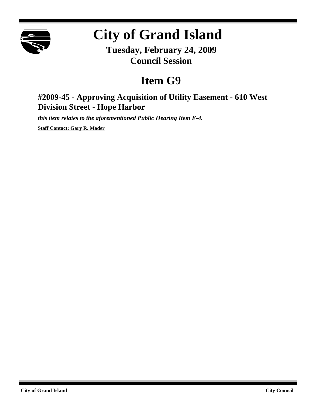

## **City of Grand Island**

**Tuesday, February 24, 2009 Council Session**

## **Item G9**

## **#2009-45 - Approving Acquisition of Utility Easement - 610 West Division Street - Hope Harbor**

*this item relates to the aforementioned Public Hearing Item E-4.*

**Staff Contact: Gary R. Mader**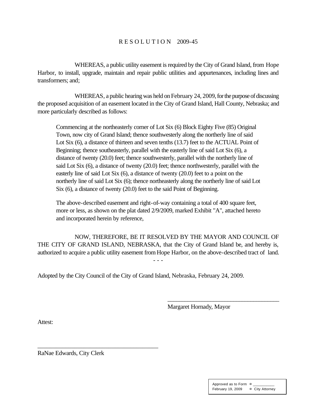## R E S O L U T I O N 2009-45

WHEREAS, a public utility easement is required by the City of Grand Island, from Hope Harbor, to install, upgrade, maintain and repair public utilities and appurtenances, including lines and transformers; and;

WHEREAS, a public hearing was held on February 24, 2009, for the purpose of discussing the proposed acquisition of an easement located in the City of Grand Island, Hall County, Nebraska; and more particularly described as follows:

Commencing at the northeasterly corner of Lot Six (6) Block Eighty Five (85) Original Town, now city of Grand Island; thence southwesterly along the northerly line of said Lot Six (6), a distance of thirteen and seven tenths (13.7) feet to the ACTUAL Point of Beginning; thence southeasterly, parallel with the easterly line of said Lot Six (6), a distance of twenty (20.0) feet; thence southwesterly, parallel with the northerly line of said Lot Six (6), a distance of twenty (20.0) feet; thence northwesterly, parallel with the easterly line of said Lot Six (6), a distance of twenty (20.0) feet to a point on the northerly line of said Lot Six (6); thence northeasterly along the northerly line of said Lot Six (6), a distance of twenty (20.0) feet to the said Point of Beginning.

The above-described easement and right-of-way containing a total of 400 square feet, more or less, as shown on the plat dated 2/9/2009, marked Exhibit "A", attached hereto and incorporated herein by reference,

NOW, THEREFORE, BE IT RESOLVED BY THE MAYOR AND COUNCIL OF THE CITY OF GRAND ISLAND, NEBRASKA, that the City of Grand Island be, and hereby is, authorized to acquire a public utility easement fromHope Harbor, on the above-described tract of land. - - -

Adopted by the City Council of the City of Grand Island, Nebraska, February 24, 2009.

Margaret Hornady, Mayor

\_\_\_\_\_\_\_\_\_\_\_\_\_\_\_\_\_\_\_\_\_\_\_\_\_\_\_\_\_\_\_\_\_\_\_\_\_\_\_

Attest:

RaNae Edwards, City Clerk

\_\_\_\_\_\_\_\_\_\_\_\_\_\_\_\_\_\_\_\_\_\_\_\_\_\_\_\_\_\_\_\_\_\_\_\_\_\_\_

| Approved as to Form ¤ |                 |
|-----------------------|-----------------|
| February 19, 2009     | ¤ City Attorney |